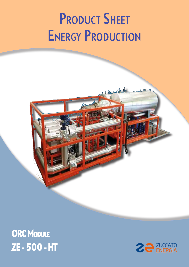# **PRODUCT SHEET ENERGY PRODUCTION**

## ORC Module ZE - 500 - HT

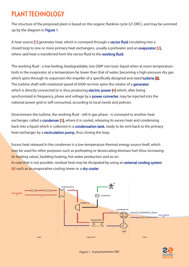#### PLANT TECHNOLOGY

The structure of the proposed plant is based on the organic Rankine cycle (LT-ORC), and may be summed up by the diagram in Figure 1.

A heat source [1] generates heat, which is conveyed through a vector fluid circulating into a closed loop to one or more primary heat exchangers, usually a preheater and an evaporator [2], where said heat is transferred from the vector fluid to the **working fluid.** 

The working fluid - a low-boiling, biodegradable, low GWP non toxic liquid when at room temperature boils in the evaporator at a temperature far lower than that of water, becoming a high-pressure dry gas which spins through its expansion the impeller of a specifically designed and sized turbine [3]. The turbine shaft with rotational speed of 6500 rev/min spins the rotator of a generator which is directly connected to it, thus producing **electric power [4]** which, after being synchronized in frequency, phase and voltage by a power converter, may be injected into the national power grid or self-consumed, according to local needs and policies.

Downstream the turbine, the working fluid - still in gas phase - is conveyed to another heat exchanger, called a **condenser [5]**, where it is cooled, releasing its excess heat and condensing back into a liquid which is collected in a **condensation tank**, ready to be sent back to the primary heat exchanger by a **recirculation pump**, thus closing the loop.

Excess heat released in the condenser is a low-temperature thermal energy source itself, which may be used for other purposes such as preheating or dessiccating biomass fuel (thus increasing its heating value), building heating, hot water production and so on. In case that is not possible, residual heat may be dissipated by using an **external cooling system** [6] such as an evaporative cooling tower or a **dry cooler.** 



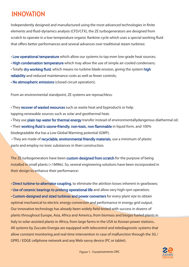#### INNOVATION

Independently designed and manufactured using the most advanced technologies in finite elements and fluid-dynamics analysis (CFD/CFX), the ZE turbogenerators are designed from scratch to operate in a low-temperature organic Rankine cycle which uses a special working fluid that offers better performances and several advances over traditional steam turbines:

• Low operational temperature which allow our systems to tap even low-grade heat sources;

• High condensation temperature which may allow the use of simple air-cooled condensers;

• Totally dry working fluid, which means no turbine blade erosion, giving the system high reliability and reduced maintenance costs as well as fewer controls;

• No atmospheric emissions (closed circuit operation);

From an environmental standpoint, ZE systems are reproachless:

• They recover of wasted resources such as waste heat and byproducts or help tapping renewable sources such as solar and geothermal heat;

• They use plain tap water for thermal energy transfer instead of environmentallydangerous diathermal oil; • Their working fluid is ozone-friendly, non-toxic, non flammable in liquid form, and 100% biodegradable tha has a Low Global Warming potential (GWP);

• They are made of recyclable, environmental friendly materials, use a minimum of plastic parts and employ no toxic substances in theri construction.

The ZE turbogenerators have been custom designed from scratch for the purpose of being installed in small plants (<1MWe). So, several engineering solutions have been incorporated in their design to enhance their performance:

• Direct turbine-to-alternator coupling, to eliminate the attrition losses inherent in gearboxes; • Use of ceramic bearings to prolong operational life and allow very high-rpm operation; • Custom-designed and sized turbines and power converters for every plant size to obtain optimal mechanical-to electric energy conversion and performance in energy grid output. Our innovative technology has already been widely field-tested with success in dozens of plants throughout Europe, Asia, Africa and America, from biomass and biogas fueled plants in Italy to solar-assisted plants in Africa, from large farms in the USA to Korean power stations.. All systems by Zuccato Energia are equipped with telecontrol and telediagnostic systems that allow constant monitoring and real-time intervention in case of malfunction through the 3G / GPRS / EDGE cellphone network and any Web-savvy device (PC or tablet).

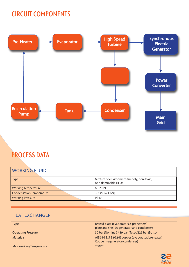#### CIRCUIT COMPONENTS



### PROCESS DATA

| <b>WORKING FLUID</b>       |                                                                   |
|----------------------------|-------------------------------------------------------------------|
| Type                       | Mixture of environment-friendly, non-toxic,<br>non-flammable HFOs |
| <b>Working Temperature</b> | $60 - 200^{\circ}$ C                                              |
| Condensation Temperature   | $\sim$ 33°C (@1 bar)                                              |
| <b>Working Pressure</b>    | <b>PS40</b>                                                       |

| <b>HEAT EXCHANGER</b>   |                                                                                        |
|-------------------------|----------------------------------------------------------------------------------------|
| $\sqrt{\text{Type}}$    | Brazed plate (evaporators & preheaters)<br>plate and shell (regenerator and condenser) |
| Operating Pressure      | 30 bar (Nominal) / 39 bar (Test) /225 bar (Burst)                                      |
| Materials               | AISI316 S/S & 99,9% copper (evaporator/preheater)<br>Copper (regenerator/condenser)    |
| Max Working Temperature | $250^{\circ}$ C                                                                        |

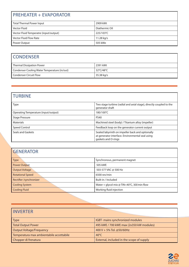| <b>PREHEATER + EVAPORATOR</b>          |                |  |
|----------------------------------------|----------------|--|
| Total Thermal Power Input              | 2909 kWt       |  |
| Vector Fluid                           | Diathermic Oil |  |
| Vector Fluid Temperatre (input/output) | 225/103°C      |  |
| Vector Fluid Flow Rate                 | 11.28 kg/s     |  |
| Power Output                           | 505 kWe        |  |

#### **CONDENSER**

| <b>Thermal Dissipation Power</b>             | 2391 kWt   |
|----------------------------------------------|------------|
| Condenser Cooling Water Temperature (in/out) | 32°C/48°C  |
| <b>Condenser Circuit Flow</b>                | 35.38 kg/s |

#### TURBINE

| Type                                 | Two stage turbine (radial and axial stage), directly coupled to the<br>generator shaft                                      |
|--------------------------------------|-----------------------------------------------------------------------------------------------------------------------------|
| Operating Temperature (input/output) | 180/100°C                                                                                                                   |
| <b>Stage Pressure</b>                | <b>PS40</b>                                                                                                                 |
| Materials                            | Machined steel (body) / Titanium alloy (impeller)                                                                           |
| Speed Control                        | Feedback loop on the generator current output                                                                               |
| Seals and Gaskets                    | Sealed labyrinth on impeller back and optionally<br>at generator interface. Environmental seal using<br>gaskets and O-rings |

| <b>GENERATOR</b>        |                                             |  |
|-------------------------|---------------------------------------------|--|
| Type                    | Synchronous, permanent magnet               |  |
| <b>Power Output</b>     | 505 kWE                                     |  |
| <b>Output Voltage</b>   | 503-577 VAC @ 500 Hz                        |  |
| <b>Rotational Speed</b> | 6500 rev/min                                |  |
| Rectifier /synchronizer | Built-in / Included                         |  |
| <b>Cooling System</b>   | Water + glycol mix @ TIN<40°C, 30l/min flow |  |
| Cooling Fluid           | Working fluid injection                     |  |

| <b>INVERTER</b>                          |                                           |
|------------------------------------------|-------------------------------------------|
| $\mathsf{Type}$                          | IGBT- mains synchronized modules          |
| Total Output Power                       | 495 kWE / 700 kWE max (2x350 kW modules)  |
| Output Voltage/Frequency                 | 400 V + 5% Tol. @50/60Hz                  |
| Temperatura max ambientabile accettabile | 40 $\mathrm{^{\circ}C}$                   |
| Chopper di frenatura                     | External, included in the scope of supply |